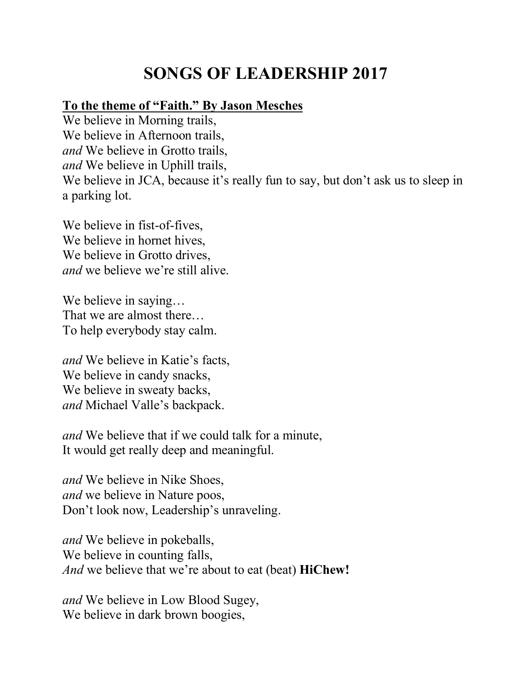## **SONGS OF LEADERSHIP 2017**

## **To the theme of "Faith." By Jason Mesches**

We believe in Morning trails, We believe in Afternoon trails, *and* We believe in Grotto trails, *and* We believe in Uphill trails, We believe in JCA, because it's really fun to say, but don't ask us to sleep in a parking lot.

We believe in fist-of-fives, We believe in hornet hives, We believe in Grotto drives, *and* we believe we're still alive.

We believe in saying... That we are almost there… To help everybody stay calm.

*and* We believe in Katie's facts, We believe in candy snacks, We believe in sweaty backs, *and* Michael Valle's backpack.

*and* We believe that if we could talk for a minute, It would get really deep and meaningful.

*and* We believe in Nike Shoes, *and* we believe in Nature poos, Don't look now, Leadership's unraveling.

*and* We believe in pokeballs, We believe in counting falls, *And* we believe that we're about to eat (beat) **HiChew!**

*and* We believe in Low Blood Sugey, We believe in dark brown boogies,